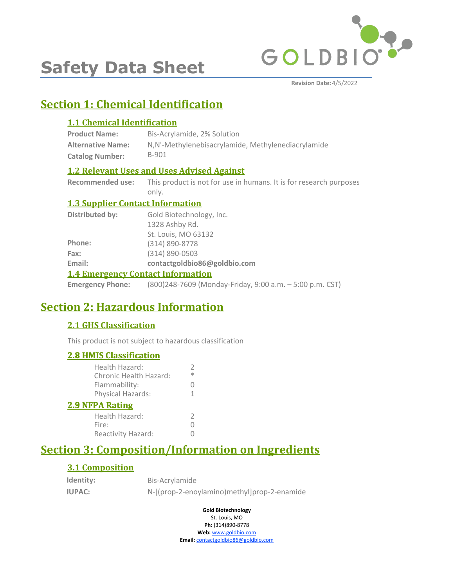

# **Safety Data Sheet**

**Revision Date:** 4/5/2022

# **Section 1: Chemical Identification**

# **1.1 Chemical Identification**

| <b>Product Name:</b>     | Bis-Acrylamide, 2% Solution                        |
|--------------------------|----------------------------------------------------|
| <b>Alternative Name:</b> | N,N'-Methylenebisacrylamide, Methylenediacrylamide |
| <b>Catalog Number:</b>   | B-901                                              |

# **1.2 Relevant Uses and Uses Advised Against**

**Recommended use:** This product is not for use in humans. It is for research purposes only.

### **1.3 Supplier Contact Information**

| <b>1.4 Emergency Contact Information</b> |                              |  |
|------------------------------------------|------------------------------|--|
| Email:                                   | contactgoldbio86@goldbio.com |  |
| Fax:                                     | $(314) 890 - 0503$           |  |
| Phone:                                   | (314) 890-8778               |  |
|                                          | St. Louis, MO 63132          |  |
|                                          | 1328 Ashby Rd.               |  |
| Distributed by:                          | Gold Biotechnology, Inc.     |  |

**Emergency Phone:** (800)248-7609 (Monday-Friday, 9:00 a.m. – 5:00 p.m. CST)

# **Section 2: Hazardous Information**

# **2.1 GHS Classification**

This product is not subject to hazardous classification

### **2.8 HMIS Classification**

| <u><b>2.8 HMIS Classification</b></u>    |             |
|------------------------------------------|-------------|
| Health Hazard:<br>Chronic Health Hazard: | 2<br>$\ast$ |
| Flammability:                            | 0           |
| Physical Hazards:                        | 1.          |
| <b>2.9 NFPA Rating</b>                   |             |
| Health Hazard:                           | 2           |
| Fire:                                    |             |
| Reactivity Hazard:                       |             |
|                                          |             |

# **Section 3: Composition/Information on Ingredients**

### **3.1 Composition**

| Identity:     | Bis-Acrylamide                              |
|---------------|---------------------------------------------|
| <b>IUPAC:</b> | N-[(prop-2-enoylamino)methyl]prop-2-enamide |

**Gold Biotechnology** St. Louis, MO

**Ph:** (314)890-8778

**Web:** www.goldbio.com **Email:** contactgoldbio86@goldbio.com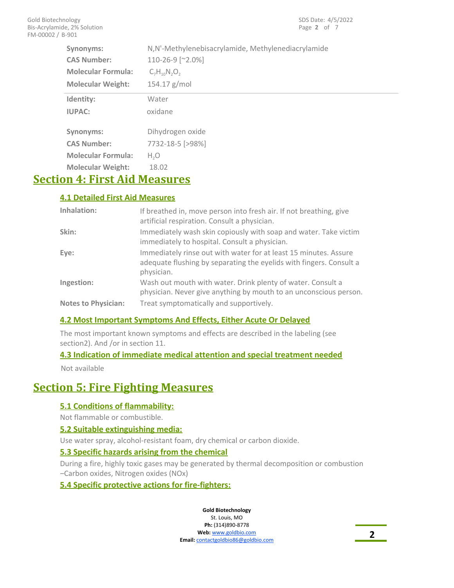| Synonyms:<br><b>CAS Number:</b><br><b>Molecular Formula:</b><br><b>Molecular Weight:</b> | N,N'-Methylenebisacrylamide, Methylenediacrylamide<br>110-26-9 [~2.0%]<br>$C_7H_{10}N_2O_2$<br>$154.17$ g/mol |
|------------------------------------------------------------------------------------------|---------------------------------------------------------------------------------------------------------------|
| Identity:                                                                                | Water                                                                                                         |
| <b>IUPAC:</b>                                                                            | oxidane                                                                                                       |
| Synonyms:                                                                                | Dihydrogen oxide                                                                                              |
| <b>CAS Number:</b>                                                                       | 7732-18-5 [>98%]                                                                                              |
| <b>Molecular Formula:</b>                                                                | H <sub>2</sub> O                                                                                              |
| <b>Molecular Weight:</b>                                                                 | 18.02                                                                                                         |

# **Section 4: First Aid Measures**

### **4.1 Detailed First Aid Measures**

| Inhalation:                | If breathed in, move person into fresh air. If not breathing, give<br>artificial respiration. Consult a physician.                                    |
|----------------------------|-------------------------------------------------------------------------------------------------------------------------------------------------------|
| Skin:                      | Immediately wash skin copiously with soap and water. Take victim<br>immediately to hospital. Consult a physician.                                     |
| Eye:                       | Immediately rinse out with water for at least 15 minutes. Assure<br>adequate flushing by separating the eyelids with fingers. Consult a<br>physician. |
| Ingestion:                 | Wash out mouth with water. Drink plenty of water. Consult a<br>physician. Never give anything by mouth to an unconscious person.                      |
| <b>Notes to Physician:</b> | Treat symptomatically and supportively.                                                                                                               |

### **4.2 Most Important Symptoms And Effects, Either Acute Or Delayed**

The most important known symptoms and effects are described in the labeling (see section2). And /or in section 11.

### **4.3 Indication of immediate medical attention and special treatment needed**

Not available

# **Section 5: Fire Fighting Measures**

### **5.1 Conditions of flammability:**

Not flammable or combustible.

#### **5.2 Suitable extinguishing media:**

Use water spray, alcohol-resistant foam, dry chemical or carbon dioxide.

#### **5.3 Specific hazards arising from the chemical**

During a fire, highly toxic gases may be generated by thermal decomposition or combustion –Carbon oxides, Nitrogen oxides (NOx)

**5.4 Specific protective actions for fire-fighters:**

**Gold Biotechnology** St. Louis, MO

**Ph:** (314)890-8778 **Web:** www.goldbio.com **Email:** contactgoldbio86@goldbio.com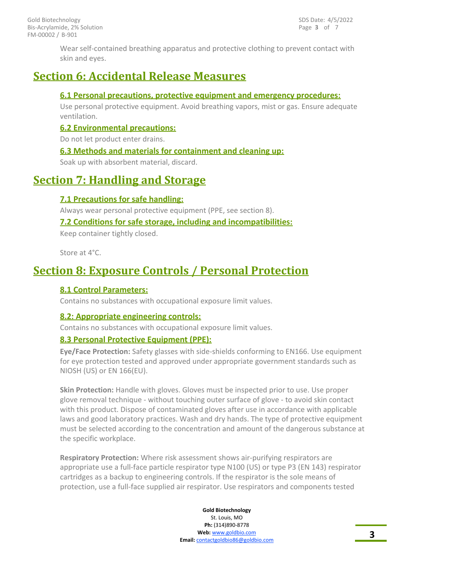Wear self-contained breathing apparatus and protective clothing to prevent contact with skin and eyes.

# **Section 6: Accidental Release Measures**

#### **6.1 Personal precautions, protective equipment and emergency procedures:**

Use personal protective equipment. Avoid breathing vapors, mist or gas. Ensure adequate ventilation.

#### **6.2 Environmental precautions:**

Do not let product enter drains.

#### **6.3 Methods and materials for containment and cleaning up:**

Soak up with absorbent material, discard.

# **Section 7: Handling and Storage**

### **7.1 Precautions for safe handling:**

Always wear personal protective equipment (PPE, see section 8).

### **7.2 Conditions for safe storage, including and incompatibilities:**

Keep container tightly closed.

Store at 4°C.

# **Section 8: Exposure Controls / Personal Protection**

### **8.1 Control Parameters:**

Contains no substances with occupational exposure limit values.

### **8.2: Appropriate engineering controls:**

Contains no substances with occupational exposure limit values.

### **8.3 Personal Protective Equipment (PPE):**

**Eye/Face Protection:** Safety glasses with side-shields conforming to EN166. Use equipment for eye protection tested and approved under appropriate government standards such as NIOSH (US) or EN 166(EU).

**Skin Protection:** Handle with gloves. Gloves must be inspected prior to use. Use proper glove removal technique - without touching outer surface of glove - to avoid skin contact with this product. Dispose of contaminated gloves after use in accordance with applicable laws and good laboratory practices. Wash and dry hands. The type of protective equipment must be selected according to the concentration and amount of the dangerous substance at the specific workplace.

**Respiratory Protection:** Where risk assessment shows air-purifying respirators are appropriate use a full-face particle respirator type N100 (US) or type P3 (EN 143) respirator cartridges as a backup to engineering controls. If the respirator is the sole means of protection, use a full-face supplied air respirator. Use respirators and components tested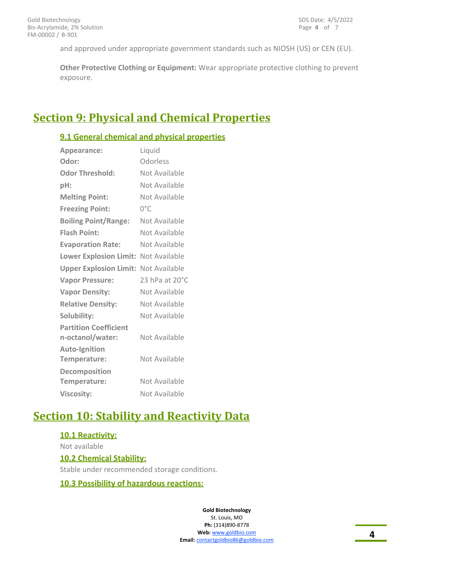and approved under appropriate government standards such as NIOSH (US) or CEN (EU).

**Other Protective Clothing or Equipment:** Wear appropriate protective clothing to prevent exposure.

# **Section 9: Physical and Chemical Properties**

### **9.1 General chemical and physical properties**

| Appearance:                                      | Liquid         |
|--------------------------------------------------|----------------|
| Odor:                                            | Odorless       |
| <b>Odor Threshold:</b>                           | Not Available  |
| pH:                                              | Not Available  |
| <b>Melting Point:</b>                            | Not Available  |
| <b>Freezing Point:</b>                           | $0^{\circ}$ C  |
| <b>Boiling Point/Range:</b>                      | Not Available  |
| <b>Flash Point:</b>                              | Not Available  |
| <b>Evaporation Rate:</b>                         | Not Available  |
| Lower Explosion Limit: Not Available             |                |
| <b>Upper Explosion Limit: Not Available</b>      |                |
| <b>Vapor Pressure:</b>                           | 23 hPa at 20°C |
| <b>Vapor Density:</b>                            | Not Available  |
| <b>Relative Density:</b>                         | Not Available  |
| Solubility:                                      | Not Available  |
| <b>Partition Coefficient</b><br>n-octanol/water: | Not Available  |
| <b>Auto-Ignition</b><br>Temperature:             | Not Available  |
| Decomposition<br>Temperature:                    | Not Available  |
| <b>Viscosity:</b>                                | Not Available  |

# **Section 10: Stability and Reactivity Data**

#### **10.1 Reactivity:**

Not available **10.2 Chemical Stability:** Stable under recommended storage conditions.

#### **10.3 Possibility of hazardous reactions:**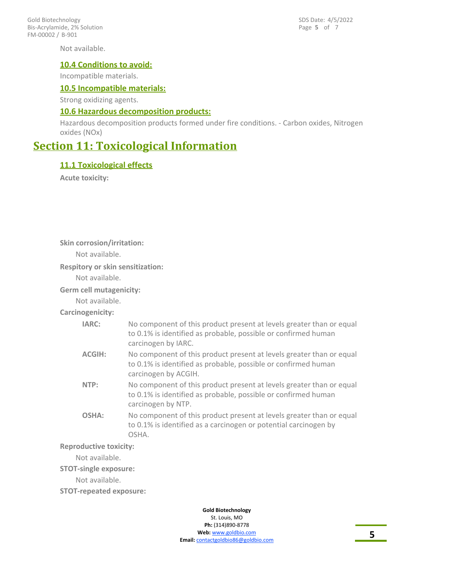FM-00002 / B-901 Gold Biotechnology Bis-Acrylamide, 2% Solution

Not available.

#### **10.4 Conditions to avoid:**

Incompatible materials.

#### **10.5 Incompatible materials:**

Strong oxidizing agents.

#### **10.6 Hazardous decomposition products:**

Hazardous decomposition products formed under fire conditions. - Carbon oxides, Nitrogen oxides (NOx)

# **Section 11: Toxicological Information**

#### **11.1 Toxicological effects**

**Acute toxicity:**

**Skin corrosion/irritation:**

Not available.

#### **Respitory or skin sensitization:**

Not available.

**Germ cell mutagenicity:**

Not available.

### **Carcinogenicity:**

| <b>IARC:</b>  | No component of this product present at levels greater than or equal<br>to 0.1% is identified as probable, possible or confirmed human<br>carcinogen by IARC.  |
|---------------|----------------------------------------------------------------------------------------------------------------------------------------------------------------|
| <b>ACGIH:</b> | No component of this product present at levels greater than or equal<br>to 0.1% is identified as probable, possible or confirmed human<br>carcinogen by ACGIH. |
| NTP:          | No component of this product present at levels greater than or equal<br>to 0.1% is identified as probable, possible or confirmed human<br>carcinogen by NTP.   |
| OSHA:         | No component of this product present at levels greater than or equal<br>to 0.1% is identified as a carcinogen or potential carcinogen by<br>OSHA.              |

#### **Reproductive toxicity:**

Not available.

**STOT-single exposure:**

Not available.

**STOT-repeated exposure:**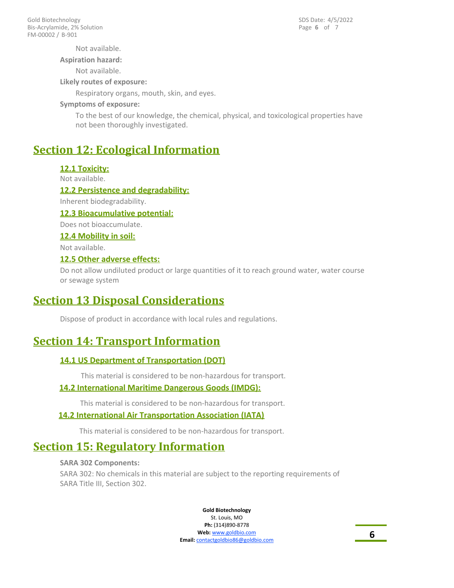Page **6** of 7 SDS Date: 4/5/2022

Not available.

**Aspiration hazard:**

Not available.

**Likely routes of exposure:**

Respiratory organs, mouth, skin, and eyes.

#### **Symptoms of exposure:**

To the best of our knowledge, the chemical, physical, and toxicological properties have not been thoroughly investigated.

# **Section 12: Ecological Information**

### **12.1 Toxicity:**

Not available.

#### **12.2 Persistence and degradability:**

Inherent biodegradability.

#### **12.3 Bioacumulative potential:**

Does not bioaccumulate.

#### **12.4 Mobility in soil:**

Not available.

#### **12.5 Other adverse effects:**

Do not allow undiluted product or large quantities of it to reach ground water, water course or sewage system

# **Section 13 Disposal Considerations**

Dispose of product in accordance with local rules and regulations.

# **Section 14: Transport Information**

### **14.1 US Department of Transportation (DOT)**

This material is considered to be non-hazardous for transport.

#### **14.2 International Maritime Dangerous Goods (IMDG):**

This material is considered to be non-hazardous for transport.

#### **14.2 International Air Transportation Association (IATA)**

This material is considered to be non-hazardous for transport.

# **Section 15: Regulatory Information**

#### **SARA 302 Components:**

SARA 302: No chemicals in this material are subject to the reporting requirements of SARA Title III, Section 302.